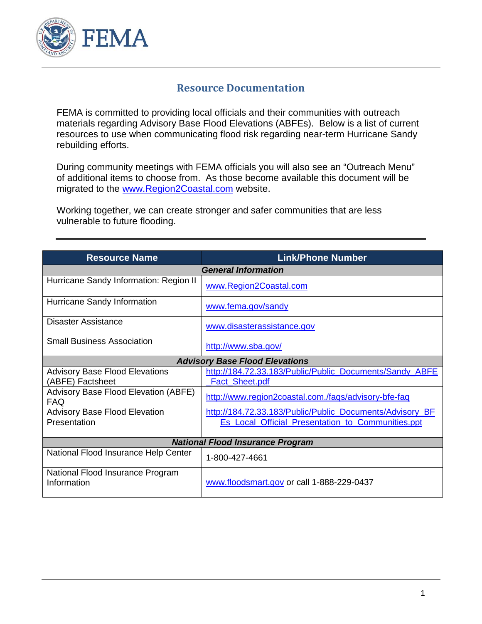

## **Resource Documentation**

FEMA is committed to providing local officials and their communities with outreach materials regarding Advisory Base Flood Elevations (ABFEs). Below is a list of current resources to use when communicating flood risk regarding near-term Hurricane Sandy rebuilding efforts.

During community meetings with FEMA officials you will also see an "Outreach Menu" of additional items to choose from. As those become available this document will be migrated to the [www.Region2Coastal.com](http://www.region2coastal.com/) website.

Working together, we can create stronger and safer communities that are less vulnerable to future flooding.

| <b>Resource Name</b>                                      | <b>Link/Phone Number</b>                                                                                      |
|-----------------------------------------------------------|---------------------------------------------------------------------------------------------------------------|
| <b>General Information</b>                                |                                                                                                               |
| Hurricane Sandy Information: Region II                    | www.Region2Coastal.com                                                                                        |
| Hurricane Sandy Information                               | www.fema.gov/sandy                                                                                            |
| Disaster Assistance                                       | www.disasterassistance.gov                                                                                    |
| <b>Small Business Association</b>                         | http://www.sba.gov/                                                                                           |
| <b>Advisory Base Flood Elevations</b>                     |                                                                                                               |
| <b>Advisory Base Flood Elevations</b><br>(ABFE) Factsheet | http://184.72.33.183/Public/Public Documents/Sandy ABFE<br><b>Fact Sheet.pdf</b>                              |
| Advisory Base Flood Elevation (ABFE)<br><b>FAQ</b>        | http://www.region2coastal.com./faqs/advisory-bfe-faq                                                          |
| <b>Advisory Base Flood Elevation</b><br>Presentation      | http://184.72.33.183/Public/Public_Documents/Advisory_BF<br>Es_Local_Official_Presentation_to_Communities.ppt |
| <b>National Flood Insurance Program</b>                   |                                                                                                               |
| National Flood Insurance Help Center                      | 1-800-427-4661                                                                                                |
| National Flood Insurance Program<br>Information           | www.floodsmart.gov or call 1-888-229-0437                                                                     |